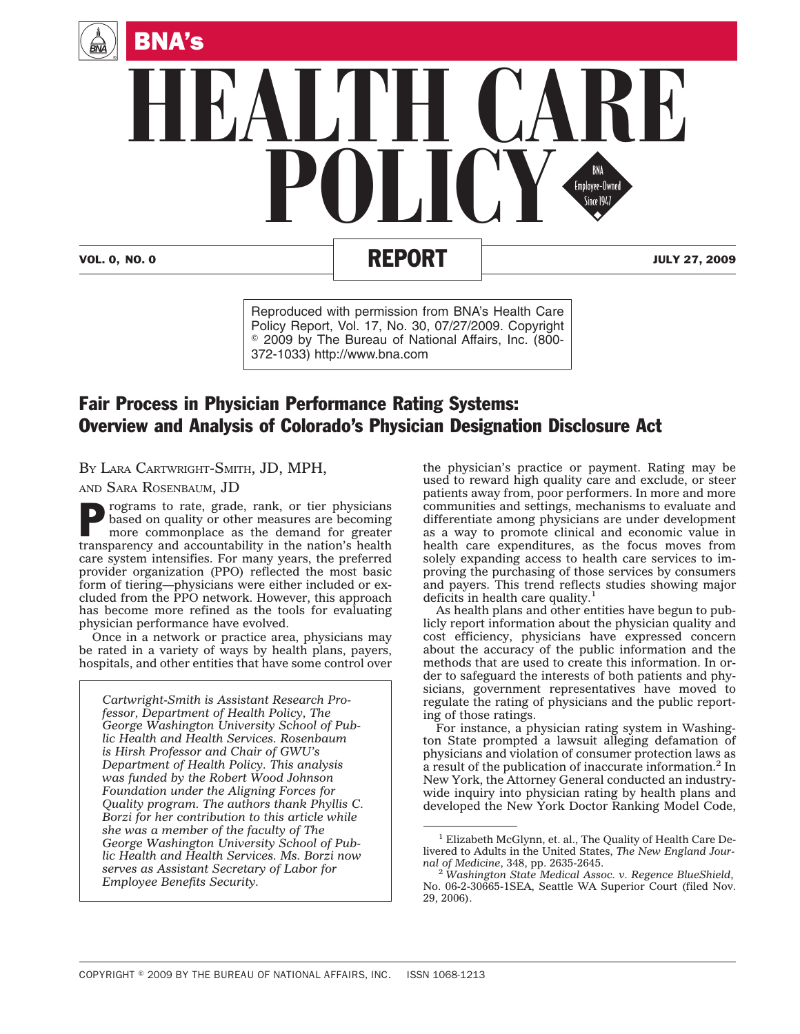

# VOL. 0, NO. 0 REPORT JULY 27, 2009

Reproduced with permission from BNA's Health Care Policy Report, Vol. 17, No. 30, 07/27/2009. Copyright © 2009 by The Bureau of National Affairs, Inc. (800-372-1033) http://www.bna.com

# Fair Process in Physician Performance Rating Systems: Overview and Analysis of Colorado's Physician Designation Disclosure Act

BY LARA CARTWRIGHT-SMITH, JD, MPH,

AND SARA ROSENBAUM, JD

Programs to rate, grade, rank, or tier physicians<br>based on quality or other measures are becoming<br>more commonplace as the demand for greater based on quality or other measures are becoming transparency and accountability in the nation's health care system intensifies. For many years, the preferred provider organization (PPO) reflected the most basic form of tiering—physicians were either included or excluded from the PPO network. However, this approach has become more refined as the tools for evaluating physician performance have evolved.

Once in a network or practice area, physicians may be rated in a variety of ways by health plans, payers, hospitals, and other entities that have some control over

*Cartwright-Smith is Assistant Research Professor, Department of Health Policy, The George Washington University School of Public Health and Health Services. Rosenbaum is Hirsh Professor and Chair of GWU's Department of Health Policy. This analysis was funded by the Robert Wood Johnson Foundation under the Aligning Forces for Quality program. The authors thank Phyllis C. Borzi for her contribution to this article while she was a member of the faculty of The George Washington University School of Public Health and Health Services. Ms. Borzi now serves as Assistant Secretary of Labor for Employee Benefits Security.*

the physician's practice or payment. Rating may be used to reward high quality care and exclude, or steer patients away from, poor performers. In more and more communities and settings, mechanisms to evaluate and differentiate among physicians are under development as a way to promote clinical and economic value in health care expenditures, as the focus moves from solely expanding access to health care services to improving the purchasing of those services by consumers and payers. This trend reflects studies showing major deficits in health care quality. $<sup>1</sup>$ </sup>

As health plans and other entities have begun to publicly report information about the physician quality and cost efficiency, physicians have expressed concern about the accuracy of the public information and the methods that are used to create this information. In order to safeguard the interests of both patients and physicians, government representatives have moved to regulate the rating of physicians and the public reporting of those ratings.

For instance, a physician rating system in Washington State prompted a lawsuit alleging defamation of physicians and violation of consumer protection laws as a result of the publication of inaccurate information.<sup>2</sup> In New York, the Attorney General conducted an industrywide inquiry into physician rating by health plans and developed the New York Doctor Ranking Model Code,

<sup>&</sup>lt;sup>1</sup> Elizabeth McGlynn, et. al., The Quality of Health Care Delivered to Adults in the United States, *The New England Journal of Medicine*, 348, pp. 2635-2645. <sup>2</sup> *Washington State Medical Assoc. v. Regence BlueShield*,

No. 06-2-30665-1SEA, Seattle WA Superior Court (filed Nov. 29, 2006).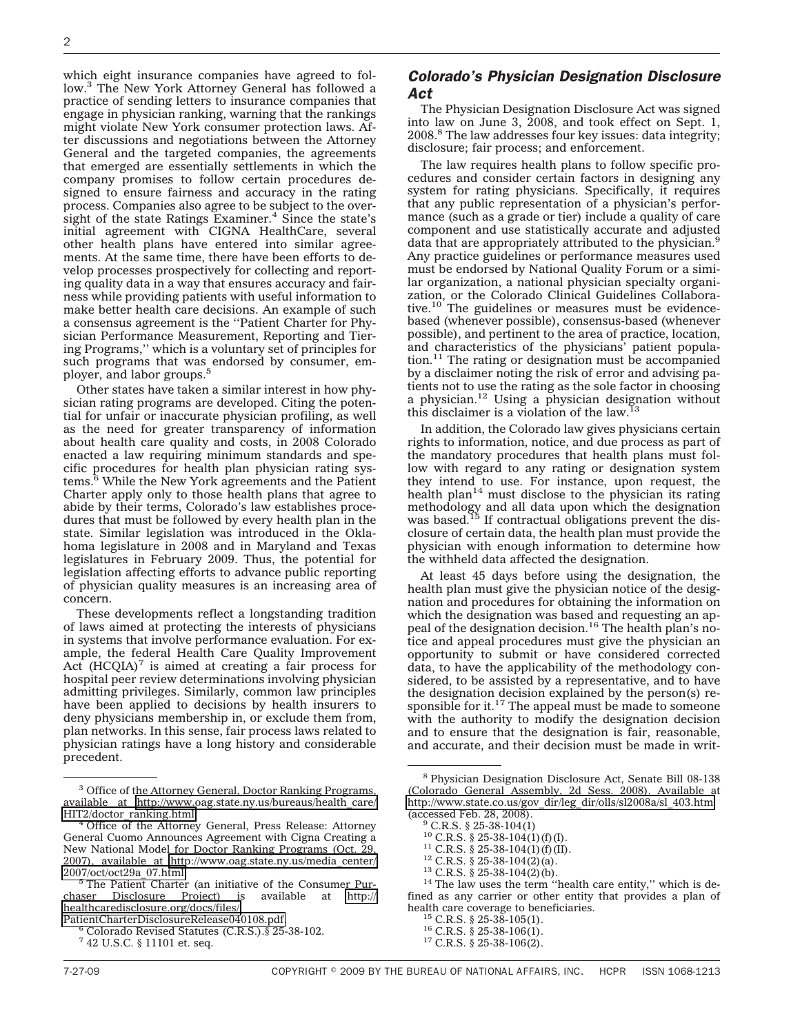which eight insurance companies have agreed to follow.3 The New York Attorney General has followed a practice of sending letters to insurance companies that engage in physician ranking, warning that the rankings might violate New York consumer protection laws. After discussions and negotiations between the Attorney General and the targeted companies, the agreements that emerged are essentially settlements in which the company promises to follow certain procedures designed to ensure fairness and accuracy in the rating process. Companies also agree to be subject to the oversight of the state Ratings Examiner. $4$  Since the state's initial agreement with CIGNA HealthCare, several other health plans have entered into similar agreements. At the same time, there have been efforts to develop processes prospectively for collecting and reporting quality data in a way that ensures accuracy and fairness while providing patients with useful information to make better health care decisions. An example of such a consensus agreement is the ''Patient Charter for Physician Performance Measurement, Reporting and Tiering Programs,'' which is a voluntary set of principles for such programs that was endorsed by consumer, employer, and labor groups.5

Other states have taken a similar interest in how physician rating programs are developed. Citing the potential for unfair or inaccurate physician profiling, as well as the need for greater transparency of information about health care quality and costs, in 2008 Colorado enacted a law requiring minimum standards and specific procedures for health plan physician rating systems.<sup>6</sup> While the New York agreements and the Patient Charter apply only to those health plans that agree to abide by their terms, Colorado's law establishes procedures that must be followed by every health plan in the state. Similar legislation was introduced in the Oklahoma legislature in 2008 and in Maryland and Texas legislatures in February 2009. Thus, the potential for legislation affecting efforts to advance public reporting of physician quality measures is an increasing area of concern.

These developments reflect a longstanding tradition of laws aimed at protecting the interests of physicians in systems that involve performance evaluation. For example, the federal Health Care Quality Improvement Act  $(HCQIA)^7$  is aimed at creating a fair process for hospital peer review determinations involving physician admitting privileges. Similarly, common law principles have been applied to decisions by health insurers to deny physicians membership in, or exclude them from, plan networks. In this sense, fair process laws related to physician ratings have a long history and considerable precedent.

The Physician Designation Disclosure Act was signed into law on June 3, 2008, and took effect on Sept. 1, 2008.8 The law addresses four key issues: data integrity; disclosure; fair process; and enforcement.

The law requires health plans to follow specific procedures and consider certain factors in designing any system for rating physicians. Specifically, it requires that any public representation of a physician's performance (such as a grade or tier) include a quality of care component and use statistically accurate and adjusted data that are appropriately attributed to the physician.<sup>9</sup> Any practice guidelines or performance measures used must be endorsed by National Quality Forum or a similar organization, a national physician specialty organization, or the Colorado Clinical Guidelines Collaborative.<sup>10</sup> The guidelines or measures must be evidencebased (whenever possible), consensus-based (whenever possible), and pertinent to the area of practice, location, and characteristics of the physicians' patient population.11 The rating or designation must be accompanied by a disclaimer noting the risk of error and advising patients not to use the rating as the sole factor in choosing a physician.12 Using a physician designation without this disclaimer is a violation of the law.<sup>13</sup>

In addition, the Colorado law gives physicians certain rights to information, notice, and due process as part of the mandatory procedures that health plans must follow with regard to any rating or designation system they intend to use. For instance, upon request, the health plan<sup>14</sup> must disclose to the physician its rating methodology and all data upon which the designation was based.<sup>15</sup> If contractual obligations prevent the disclosure of certain data, the health plan must provide the physician with enough information to determine how the withheld data affected the designation.

At least 45 days before using the designation, the health plan must give the physician notice of the designation and procedures for obtaining the information on which the designation was based and requesting an appeal of the designation decision.<sup>16</sup> The health plan's notice and appeal procedures must give the physician an opportunity to submit or have considered corrected data, to have the applicability of the methodology considered, to be assisted by a representative, and to have the designation decision explained by the person(s) responsible for it.<sup>17</sup> The appeal must be made to someone with the authority to modify the designation decision and to ensure that the designation is fair, reasonable, and accurate, and their decision must be made in writ-

<sup>11</sup> C.R.S. § 25-38-104(1)(f)(II).<br><sup>12</sup> C.R.S. § 25-38-104(2)(a).<br><sup>13</sup> C.R.S. § 25-38-104(2)(b).<br><sup>14</sup> The law uses the term ''health care entity,'' which is defined as any carrier or other entity that provides a plan of health care coverage to beneficiaries.<br><sup>15</sup> C.R.S. § 25-38-105(1).<br><sup>16</sup> C.R.S. § 25-38-106(1).<br><sup>17</sup> C.R.S. § 25-38-106(2).

<sup>&</sup>lt;sup>3</sup> Office of the Attorney General, Doctor Ranking Programs, available at [http://www.oag.state.ny.us/bureaus/health\\_care/](http://www.oag.state.ny.us/bureaus/health_care/HIT2/doctor_ranking.html) [HIT2/doctor\\_ranking.html.](http://www.oag.state.ny.us/bureaus/health_care/HIT2/doctor_ranking.html) <sup>4</sup> Office of the Attorney General, Press Release: Attorney

General Cuomo Announces Agreement with Cigna Creating a New National Model for Doctor Ranking Programs (Oct. 29, 2007), available at [http://www.oag.state.ny.us/media\\_center/](http://www.oag.state.ny.us/media_center/2007/oct/oct29a_07.html)

<sup>&</sup>lt;sup>5</sup> The Patient Charter (an initiative of the Consumer Pur-<br>aser Disclosure Project) is available at http:// chaser Disclosure Project) is available at [http://](http://healthcaredisclosure.org/docs/files/PatientCharterDisclosureRelease040108.pdf) [healthcaredisclosure.org/docs/files/](http://healthcaredisclosure.org/docs/files/PatientCharterDisclosureRelease040108.pdf)<br>PatientCharterDisclosureRelease040108.pdf.

Colorado Revised Statutes (C.R.S.).§ 25-38-102.

<sup>7</sup> 42 U.S.C. § 11101 et. seq.

*Colorado's Physician Designation Disclosure Act*

<sup>8</sup> Physician Designation Disclosure Act, Senate Bill 08-138 (Colorado General Assembly, 2d Sess. 2008). Available at [http://www.state.co.us/gov\\_dir/leg\\_dir/olls/sl2008a/sl\\_403.htm](http://www.state.co.us/gov_dir/leg_dir/olls/sl2008a/sl_403.htm)

 $^{9}$  C.R.S. § 25-38-104(1)<br><sup>10</sup> C.R.S. § 25-38-104(1)(f)(I).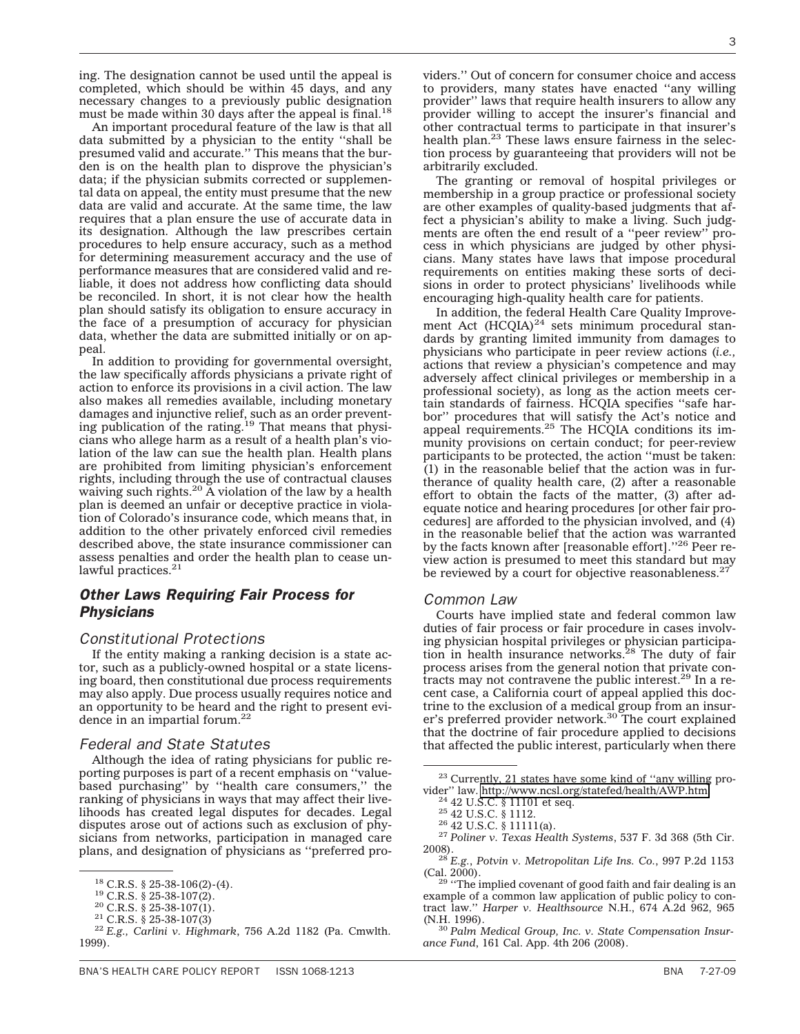ing. The designation cannot be used until the appeal is completed, which should be within 45 days, and any necessary changes to a previously public designation must be made within 30 days after the appeal is final.<sup>18</sup>

An important procedural feature of the law is that all data submitted by a physician to the entity ''shall be presumed valid and accurate.'' This means that the burden is on the health plan to disprove the physician's data; if the physician submits corrected or supplemental data on appeal, the entity must presume that the new data are valid and accurate. At the same time, the law requires that a plan ensure the use of accurate data in its designation. Although the law prescribes certain procedures to help ensure accuracy, such as a method for determining measurement accuracy and the use of performance measures that are considered valid and reliable, it does not address how conflicting data should be reconciled. In short, it is not clear how the health plan should satisfy its obligation to ensure accuracy in the face of a presumption of accuracy for physician data, whether the data are submitted initially or on apneal

In addition to providing for governmental oversight, the law specifically affords physicians a private right of action to enforce its provisions in a civil action. The law also makes all remedies available, including monetary damages and injunctive relief, such as an order prevent-<br>ing publication of the rating.<sup>19</sup> That means that physicians who allege harm as a result of a health plan's violation of the law can sue the health plan. Health plans are prohibited from limiting physician's enforcement rights, including through the use of contractual clauses waiving such rights.<sup>20</sup> A violation of the law by a health plan is deemed an unfair or deceptive practice in violation of Colorado's insurance code, which means that, in addition to the other privately enforced civil remedies described above, the state insurance commissioner can assess penalties and order the health plan to cease unlawful practices.<sup>21</sup>

# *Other Laws Requiring Fair Process for Physicians*

## *Constitutional Protections*

If the entity making a ranking decision is a state actor, such as a publicly-owned hospital or a state licensing board, then constitutional due process requirements may also apply. Due process usually requires notice and an opportunity to be heard and the right to present evidence in an impartial forum.<sup>22</sup>

### *Federal and State Statutes*

Although the idea of rating physicians for public reporting purposes is part of a recent emphasis on ''valuebased purchasing'' by ''health care consumers,'' the ranking of physicians in ways that may affect their livelihoods has created legal disputes for decades. Legal disputes arose out of actions such as exclusion of physicians from networks, participation in managed care plans, and designation of physicians as ''preferred pro-

viders.'' Out of concern for consumer choice and access to providers, many states have enacted ''any willing provider'' laws that require health insurers to allow any provider willing to accept the insurer's financial and other contractual terms to participate in that insurer's health plan.<sup>23</sup> These laws ensure fairness in the selection process by guaranteeing that providers will not be arbitrarily excluded.

The granting or removal of hospital privileges or membership in a group practice or professional society are other examples of quality-based judgments that affect a physician's ability to make a living. Such judgments are often the end result of a ''peer review'' process in which physicians are judged by other physicians. Many states have laws that impose procedural requirements on entities making these sorts of decisions in order to protect physicians' livelihoods while encouraging high-quality health care for patients.

In addition, the federal Health Care Quality Improvement Act  $(HCQIA)^{24}$  sets minimum procedural standards by granting limited immunity from damages to physicians who participate in peer review actions (*i.e.,* actions that review a physician's competence and may adversely affect clinical privileges or membership in a professional society), as long as the action meets certain standards of fairness. HCQIA specifies ''safe harbor'' procedures that will satisfy the Act's notice and appeal requirements.<sup>25</sup> The HCQIA conditions its immunity provisions on certain conduct; for peer-review participants to be protected, the action ''must be taken: (1) in the reasonable belief that the action was in furtherance of quality health care, (2) after a reasonable effort to obtain the facts of the matter, (3) after adequate notice and hearing procedures [or other fair procedures] are afforded to the physician involved, and (4) in the reasonable belief that the action was warranted by the facts known after [reasonable effort]."<sup>26</sup> Peer review action is presumed to meet this standard but may be reviewed by a court for objective reasonableness. $27$ 

#### *Common Law*

Courts have implied state and federal common law duties of fair process or fair procedure in cases involving physician hospital privileges or physician participa-<br>tion in health insurance networks.<sup>28</sup> The duty of fair process arises from the general notion that private contracts may not contravene the public interest.29 In a recent case, a California court of appeal applied this doctrine to the exclusion of a medical group from an insurer's preferred provider network.<sup>30</sup> The court explained that the doctrine of fair procedure applied to decisions that affected the public interest, particularly when there

 $^{29}$  "The implied covenant of good faith and fair dealing is an example of a common law application of public policy to contract law.'' *Harper v. Healthsource* N.H., 674 A.2d 962, 965

<sup>18</sup> C.R.S. § 25-38-106(2)-(4). <sup>19</sup> C.R.S. § 25-38-107(2). <sup>20</sup> C.R.S. § 25-38-107(1). <sup>21</sup> C.R.S. § 25-38-107(3) <sup>22</sup> *E.g., Carlini v. Highmark*, 756 A.2d 1182 (Pa. Cmwlth. 1999).

 $^{23}$  Currently, 21 states have some kind of "any willing provider" law. http://www.ncsl.org/statefed/health/AWP.htm.

<sup>&</sup>lt;sup>24</sup> 42 U.S.C. § 11101 et seq. <sup>25</sup> 42 U.S.C. § 1112.<br><sup>25</sup> 42 U.S.C. § 11111 (a). <sup>26</sup> 42 U.S.C. § 11111 (a). <sup>27</sup> *Poliner v. Texas Health Systems*, 537 F. 3d 368 (5th Cir.

<sup>2008).</sup> <sup>28</sup> *E.g.*, *Potvin v. Metropolitan Life Ins. Co.*, 997 P.2d 1153

<sup>&</sup>lt;sup>30</sup> Palm Medical Group, Inc. v. State Compensation Insur*ance Fund*, 161 Cal. App. 4th 206 (2008).